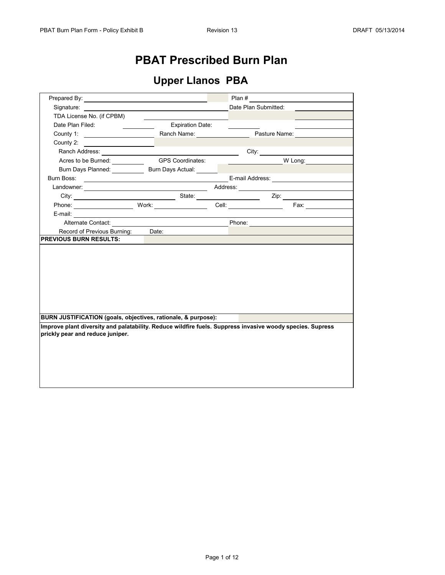## **PBAT Prescribed Burn Plan**

## **Upper Llanos PBA**

|                                                                                                                                                                                                                                |                                                               | Plan $\#$ |                                                                                                                                                                                                                               |  |  |  |  |  |
|--------------------------------------------------------------------------------------------------------------------------------------------------------------------------------------------------------------------------------|---------------------------------------------------------------|-----------|-------------------------------------------------------------------------------------------------------------------------------------------------------------------------------------------------------------------------------|--|--|--|--|--|
| Signature:                                                                                                                                                                                                                     |                                                               |           | Date Plan Submitted:                                                                                                                                                                                                          |  |  |  |  |  |
| TDA License No. (if CPBM)                                                                                                                                                                                                      |                                                               |           |                                                                                                                                                                                                                               |  |  |  |  |  |
| Date Plan Filed:                                                                                                                                                                                                               | <b>Expiration Date:</b>                                       |           |                                                                                                                                                                                                                               |  |  |  |  |  |
| County 1: County 1: County 1: County 1: County 1: County 1: County 1: County 1: County 1: County 1: County 1: County 1: County 1: County 1: County 1: County 1: County 1: County 1: County 1: County 1: County 1: County 1: Co |                                                               |           | Pasture Name:                                                                                                                                                                                                                 |  |  |  |  |  |
| County 2:                                                                                                                                                                                                                      |                                                               |           |                                                                                                                                                                                                                               |  |  |  |  |  |
| Ranch Address: <u>Communications</u>                                                                                                                                                                                           |                                                               |           |                                                                                                                                                                                                                               |  |  |  |  |  |
| Acres to be Burned: __________                                                                                                                                                                                                 | <b>GPS Coordinates:</b>                                       |           | W Long:                                                                                                                                                                                                                       |  |  |  |  |  |
| Burn Days Planned: Burn Days Actual:                                                                                                                                                                                           |                                                               |           |                                                                                                                                                                                                                               |  |  |  |  |  |
|                                                                                                                                                                                                                                |                                                               |           |                                                                                                                                                                                                                               |  |  |  |  |  |
|                                                                                                                                                                                                                                |                                                               |           |                                                                                                                                                                                                                               |  |  |  |  |  |
|                                                                                                                                                                                                                                |                                                               |           |                                                                                                                                                                                                                               |  |  |  |  |  |
| Phone: Work:                                                                                                                                                                                                                   |                                                               |           | Cell: Fax: Fax:                                                                                                                                                                                                               |  |  |  |  |  |
|                                                                                                                                                                                                                                |                                                               |           |                                                                                                                                                                                                                               |  |  |  |  |  |
|                                                                                                                                                                                                                                |                                                               |           | Alternate Contact: and the context of the context of the context of the context of the context of the context of the context of the context of the context of the context of the context of the context of the context of the |  |  |  |  |  |
| Record of Previous Burning: Date:                                                                                                                                                                                              |                                                               |           |                                                                                                                                                                                                                               |  |  |  |  |  |
| <b>PREVIOUS BURN RESULTS:</b>                                                                                                                                                                                                  |                                                               |           |                                                                                                                                                                                                                               |  |  |  |  |  |
|                                                                                                                                                                                                                                |                                                               |           |                                                                                                                                                                                                                               |  |  |  |  |  |
|                                                                                                                                                                                                                                |                                                               |           |                                                                                                                                                                                                                               |  |  |  |  |  |
|                                                                                                                                                                                                                                |                                                               |           |                                                                                                                                                                                                                               |  |  |  |  |  |
|                                                                                                                                                                                                                                |                                                               |           |                                                                                                                                                                                                                               |  |  |  |  |  |
|                                                                                                                                                                                                                                |                                                               |           |                                                                                                                                                                                                                               |  |  |  |  |  |
|                                                                                                                                                                                                                                |                                                               |           |                                                                                                                                                                                                                               |  |  |  |  |  |
|                                                                                                                                                                                                                                |                                                               |           |                                                                                                                                                                                                                               |  |  |  |  |  |
|                                                                                                                                                                                                                                |                                                               |           |                                                                                                                                                                                                                               |  |  |  |  |  |
|                                                                                                                                                                                                                                | BURN JUSTIFICATION (goals, objectives, rationale, & purpose): |           |                                                                                                                                                                                                                               |  |  |  |  |  |
|                                                                                                                                                                                                                                |                                                               |           |                                                                                                                                                                                                                               |  |  |  |  |  |
| Improve plant diversity and palatability. Reduce wildfire fuels. Suppress invasive woody species. Supress                                                                                                                      |                                                               |           |                                                                                                                                                                                                                               |  |  |  |  |  |
| prickly pear and reduce juniper.                                                                                                                                                                                               |                                                               |           |                                                                                                                                                                                                                               |  |  |  |  |  |
|                                                                                                                                                                                                                                |                                                               |           |                                                                                                                                                                                                                               |  |  |  |  |  |
|                                                                                                                                                                                                                                |                                                               |           |                                                                                                                                                                                                                               |  |  |  |  |  |
|                                                                                                                                                                                                                                |                                                               |           |                                                                                                                                                                                                                               |  |  |  |  |  |
|                                                                                                                                                                                                                                |                                                               |           |                                                                                                                                                                                                                               |  |  |  |  |  |
|                                                                                                                                                                                                                                |                                                               |           |                                                                                                                                                                                                                               |  |  |  |  |  |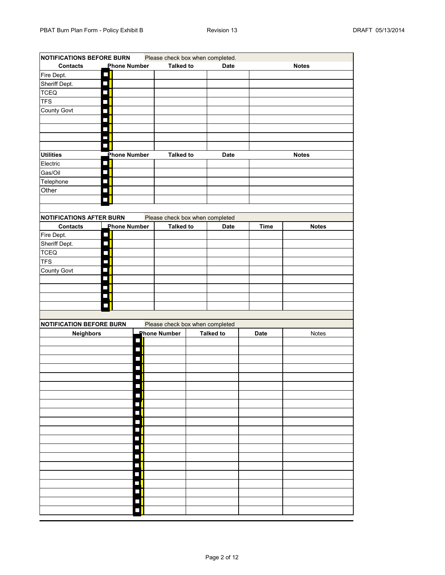| <b>NOTIFICATIONS BEFORE BURN</b><br>Please check box when completed. |                             |                     |        |                                 |  |                  |             |              |
|----------------------------------------------------------------------|-----------------------------|---------------------|--------|---------------------------------|--|------------------|-------------|--------------|
| <b>Contacts</b>                                                      |                             | <b>Phone Number</b> |        | <b>Talked to</b>                |  | <b>Date</b>      |             | <b>Notes</b> |
| Fire Dept.                                                           | Π                           |                     |        |                                 |  |                  |             |              |
| Sheriff Dept.                                                        | $\Box$                      |                     |        |                                 |  |                  |             |              |
| TCEQ                                                                 | $\sim$                      |                     |        |                                 |  |                  |             |              |
| <b>TFS</b>                                                           | $\mathcal{L}$               |                     |        |                                 |  |                  |             |              |
| County Govt                                                          |                             |                     |        |                                 |  |                  |             |              |
|                                                                      | П                           |                     |        |                                 |  |                  |             |              |
|                                                                      | $\mathcal{L}_{\mathcal{A}}$ |                     |        |                                 |  |                  |             |              |
|                                                                      | J                           |                     |        |                                 |  |                  |             |              |
|                                                                      | $\sim$                      |                     |        |                                 |  |                  |             |              |
| <b>Utilities</b>                                                     |                             | <b>Phone Number</b> |        | <b>Talked to</b>                |  | <b>Date</b>      |             | <b>Notes</b> |
| Electric                                                             | $\sim 1$                    |                     |        |                                 |  |                  |             |              |
| Gas/Oil                                                              | $\mathcal{L}$               |                     |        |                                 |  |                  |             |              |
| Telephone                                                            | Π                           |                     |        |                                 |  |                  |             |              |
| Other                                                                | $\mathcal{L}_{\mathcal{A}}$ |                     |        |                                 |  |                  |             |              |
|                                                                      |                             |                     |        |                                 |  |                  |             |              |
|                                                                      |                             |                     |        |                                 |  |                  |             |              |
| <b>NOTIFICATIONS AFTER BURN</b>                                      |                             |                     |        | Please check box when completed |  |                  |             |              |
| <b>Contacts</b>                                                      |                             | <b>Phone Number</b> |        | <b>Talked to</b>                |  | <b>Date</b>      | <b>Time</b> | <b>Notes</b> |
| Fire Dept.                                                           | $\overline{\phantom{a}}$    |                     |        |                                 |  |                  |             |              |
| Sheriff Dept.                                                        | П                           |                     |        |                                 |  |                  |             |              |
| <b>TCEQ</b>                                                          | П                           |                     |        |                                 |  |                  |             |              |
| <b>TFS</b>                                                           | П                           |                     |        |                                 |  |                  |             |              |
| <b>County Govt</b>                                                   | T,                          |                     |        |                                 |  |                  |             |              |
|                                                                      | $\sim$                      |                     |        |                                 |  |                  |             |              |
|                                                                      | $\sim$                      |                     |        |                                 |  |                  |             |              |
|                                                                      |                             |                     |        |                                 |  |                  |             |              |
|                                                                      |                             |                     |        |                                 |  |                  |             |              |
|                                                                      |                             |                     |        |                                 |  |                  |             |              |
| <b>NOTIFICATION BEFORE BURN</b>                                      |                             |                     |        | Please check box when completed |  |                  |             |              |
| Neighbors                                                            |                             |                     |        | <b>Phone Number</b>             |  | <b>Talked to</b> | <b>Date</b> | Notes        |
|                                                                      |                             |                     | $\Box$ |                                 |  |                  |             |              |
|                                                                      |                             |                     |        |                                 |  |                  |             |              |
|                                                                      |                             |                     |        |                                 |  |                  |             |              |
|                                                                      |                             |                     |        |                                 |  |                  |             |              |
|                                                                      |                             |                     |        |                                 |  |                  |             |              |
|                                                                      |                             |                     |        |                                 |  |                  |             |              |
|                                                                      |                             |                     |        |                                 |  |                  |             |              |
|                                                                      |                             |                     |        |                                 |  |                  |             |              |
|                                                                      |                             |                     | Π      |                                 |  |                  |             |              |
|                                                                      |                             |                     | Г      |                                 |  |                  |             |              |
|                                                                      |                             |                     | П      |                                 |  |                  |             |              |
|                                                                      |                             |                     |        |                                 |  |                  |             |              |
|                                                                      |                             |                     |        |                                 |  |                  |             |              |
|                                                                      |                             |                     |        |                                 |  |                  |             |              |
|                                                                      |                             |                     |        |                                 |  |                  |             |              |
|                                                                      |                             |                     |        |                                 |  |                  |             |              |
|                                                                      |                             |                     |        |                                 |  |                  |             |              |
|                                                                      |                             |                     |        |                                 |  |                  |             |              |
|                                                                      |                             |                     | Г      |                                 |  |                  |             |              |
|                                                                      |                             |                     |        |                                 |  |                  |             |              |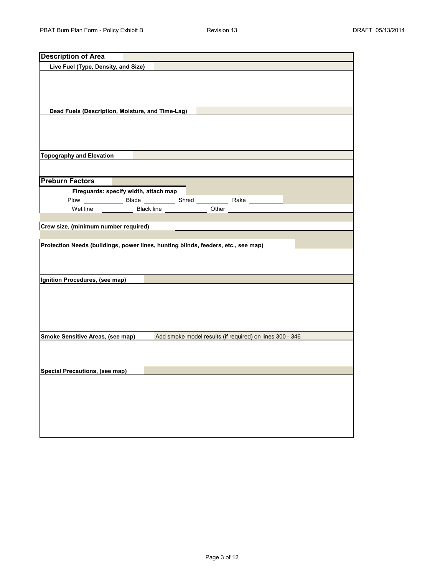| <b>Description of Area</b>                                                        |                                       |       |                                                          |  |
|-----------------------------------------------------------------------------------|---------------------------------------|-------|----------------------------------------------------------|--|
| Live Fuel (Type, Density, and Size)                                               |                                       |       |                                                          |  |
|                                                                                   |                                       |       |                                                          |  |
|                                                                                   |                                       |       |                                                          |  |
| Dead Fuels (Description, Moisture, and Time-Lag)                                  |                                       |       |                                                          |  |
|                                                                                   |                                       |       |                                                          |  |
| <b>Topography and Elevation</b>                                                   |                                       |       |                                                          |  |
|                                                                                   |                                       |       |                                                          |  |
| <b>Preburn Factors</b>                                                            |                                       |       |                                                          |  |
|                                                                                   | Fireguards: specify width, attach map |       |                                                          |  |
|                                                                                   |                                       |       |                                                          |  |
| Wet line                                                                          | Black line                            | Other |                                                          |  |
|                                                                                   |                                       |       |                                                          |  |
| Crew size, (minimum number required)                                              |                                       |       |                                                          |  |
|                                                                                   |                                       |       |                                                          |  |
| Protection Needs (buildings, power lines, hunting blinds, feeders, etc., see map) |                                       |       |                                                          |  |
|                                                                                   |                                       |       |                                                          |  |
|                                                                                   |                                       |       |                                                          |  |
| Ignition Procedures, (see map)                                                    |                                       |       |                                                          |  |
|                                                                                   |                                       |       |                                                          |  |
|                                                                                   |                                       |       |                                                          |  |
|                                                                                   |                                       |       |                                                          |  |
|                                                                                   |                                       |       |                                                          |  |
|                                                                                   |                                       |       |                                                          |  |
| Smoke Sensitive Areas, (see map)                                                  |                                       |       | Add smoke model results (if required) on lines 300 - 346 |  |
|                                                                                   |                                       |       |                                                          |  |
|                                                                                   |                                       |       |                                                          |  |
| Special Precautions, (see map)                                                    |                                       |       |                                                          |  |
|                                                                                   |                                       |       |                                                          |  |
|                                                                                   |                                       |       |                                                          |  |
|                                                                                   |                                       |       |                                                          |  |
|                                                                                   |                                       |       |                                                          |  |
|                                                                                   |                                       |       |                                                          |  |
|                                                                                   |                                       |       |                                                          |  |
|                                                                                   |                                       |       |                                                          |  |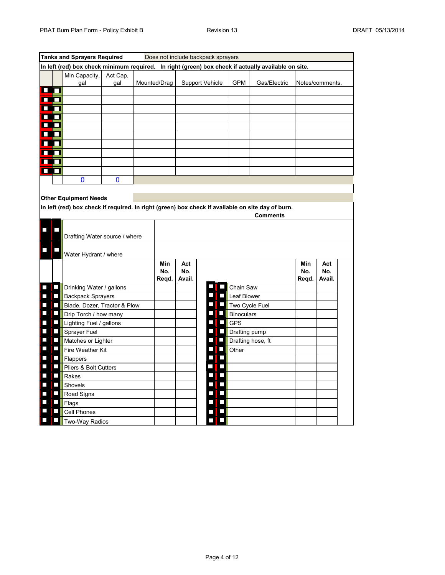|                                                      | <b>Tanks and Sprayers Required</b><br>Does not include backpack sprayers |                                                          |                 |  |              |        |                                |                   |                                                                                                                      |       |                 |  |
|------------------------------------------------------|--------------------------------------------------------------------------|----------------------------------------------------------|-----------------|--|--------------|--------|--------------------------------|-------------------|----------------------------------------------------------------------------------------------------------------------|-------|-----------------|--|
|                                                      |                                                                          |                                                          |                 |  |              |        |                                |                   | In left (red) box check minimum required. In right (green) box check if actually available on site.                  |       |                 |  |
|                                                      |                                                                          | Min Capacity,<br>gal                                     | Act Cap,<br>gal |  | Mounted/Drag |        | <b>Support Vehicle</b>         | <b>GPM</b>        | Gas/Electric                                                                                                         |       | Notes/comments. |  |
| œo                                                   |                                                                          |                                                          |                 |  |              |        |                                |                   |                                                                                                                      |       |                 |  |
| œo                                                   |                                                                          |                                                          |                 |  |              |        |                                |                   |                                                                                                                      |       |                 |  |
| œo                                                   |                                                                          |                                                          |                 |  |              |        |                                |                   |                                                                                                                      |       |                 |  |
| œo                                                   |                                                                          |                                                          |                 |  |              |        |                                |                   |                                                                                                                      |       |                 |  |
| œo                                                   |                                                                          |                                                          |                 |  |              |        |                                |                   |                                                                                                                      |       |                 |  |
| œo                                                   |                                                                          |                                                          |                 |  |              |        |                                |                   |                                                                                                                      |       |                 |  |
| œo                                                   |                                                                          |                                                          |                 |  |              |        |                                |                   |                                                                                                                      |       |                 |  |
| œō                                                   |                                                                          |                                                          |                 |  |              |        |                                |                   |                                                                                                                      |       |                 |  |
| œo                                                   |                                                                          |                                                          |                 |  |              |        |                                |                   |                                                                                                                      |       |                 |  |
| œo                                                   |                                                                          |                                                          |                 |  |              |        |                                |                   |                                                                                                                      |       |                 |  |
|                                                      |                                                                          | 0                                                        | 0               |  |              |        |                                |                   |                                                                                                                      |       |                 |  |
|                                                      |                                                                          |                                                          |                 |  |              |        |                                |                   |                                                                                                                      |       |                 |  |
|                                                      |                                                                          | <b>Other Equipment Needs</b>                             |                 |  |              |        |                                |                   |                                                                                                                      |       |                 |  |
|                                                      |                                                                          |                                                          |                 |  |              |        |                                |                   | In left (red) box check if required. In right (green) box check if available on site day of burn.<br><b>Comments</b> |       |                 |  |
|                                                      |                                                                          |                                                          |                 |  |              |        |                                |                   |                                                                                                                      |       |                 |  |
|                                                      |                                                                          |                                                          |                 |  |              |        |                                |                   |                                                                                                                      |       |                 |  |
|                                                      |                                                                          | Drafting Water source / where                            |                 |  |              |        |                                |                   |                                                                                                                      |       |                 |  |
|                                                      |                                                                          | Water Hydrant / where                                    |                 |  |              |        |                                |                   |                                                                                                                      |       |                 |  |
|                                                      |                                                                          |                                                          |                 |  | Min          | Act    |                                |                   |                                                                                                                      | Min   | Act             |  |
|                                                      |                                                                          |                                                          |                 |  | No.          | No.    |                                |                   |                                                                                                                      | No.   | No.             |  |
| Π                                                    | $\Box$                                                                   |                                                          |                 |  | Reqd.        | Avail. |                                |                   |                                                                                                                      | Reqd. | Avail.          |  |
|                                                      | $\Box$                                                                   | Drinking Water / gallons                                 |                 |  |              |        |                                | Chain Saw         |                                                                                                                      |       |                 |  |
| $\overline{\phantom{0}}$<br>$\overline{\phantom{a}}$ | $\Box$                                                                   | <b>Backpack Sprayers</b><br>Blade, Dozer, Tractor & Plow |                 |  |              |        |                                | Leaf Blower       | Two Cycle Fuel                                                                                                       |       |                 |  |
| $\overline{\phantom{a}}$                             | $\overline{\phantom{a}}$                                                 | Drip Torch / how many                                    |                 |  |              |        | $\overline{\phantom{0}}$       | <b>Binoculars</b> |                                                                                                                      |       |                 |  |
| $\Box$                                               | $\Box$                                                                   | Lighting Fuel / gallons                                  |                 |  |              |        | J.<br>П                        | <b>GPS</b>        |                                                                                                                      |       |                 |  |
| $\overline{\phantom{a}}$                             | $\overline{\phantom{0}}$                                                 | <b>Sprayer Fuel</b>                                      |                 |  |              |        | $\overline{\phantom{a}}$       | Drafting pump     |                                                                                                                      |       |                 |  |
| $\overline{\phantom{a}}$                             | $\overline{\phantom{0}}$                                                 | Matches or Lighter                                       |                 |  |              |        | I,<br>$\overline{\phantom{0}}$ |                   | Drafting hose, ft                                                                                                    |       |                 |  |
| $\Box$                                               | $\overline{\phantom{0}}$                                                 | Fire Weather Kit                                         |                 |  |              |        | $\mathcal{L}_{\mathcal{A}}$    | Other             |                                                                                                                      |       |                 |  |
| $\Box$                                               | $\Box$                                                                   | Flappers                                                 |                 |  |              |        | $\overline{\phantom{0}}$<br>L  |                   |                                                                                                                      |       |                 |  |
| $\Box$                                               | $\overline{\phantom{a}}$                                                 | Pliers & Bolt Cutters                                    |                 |  |              |        | $\mathsf{L}$                   |                   |                                                                                                                      |       |                 |  |
| $\overline{\phantom{a}}$                             | $\Box$                                                                   | Rakes                                                    |                 |  |              |        | L<br>Ξ                         |                   |                                                                                                                      |       |                 |  |
| $\Box$                                               | $\overline{\phantom{a}}$                                                 | Shovels                                                  |                 |  |              |        | $\Box$                         |                   |                                                                                                                      |       |                 |  |
| $\overline{\phantom{a}}$                             | $\overline{\phantom{a}}$                                                 | Road Signs                                               |                 |  |              |        |                                |                   |                                                                                                                      |       |                 |  |
| П                                                    | $\Box$                                                                   | Flags                                                    |                 |  |              |        | П                              |                   |                                                                                                                      |       |                 |  |
|                                                      | L.                                                                       | Cell Phones                                              |                 |  |              |        |                                |                   |                                                                                                                      |       |                 |  |
| $\mathcal{L}$                                        | П                                                                        | Two-Way Radios                                           |                 |  |              |        |                                |                   |                                                                                                                      |       |                 |  |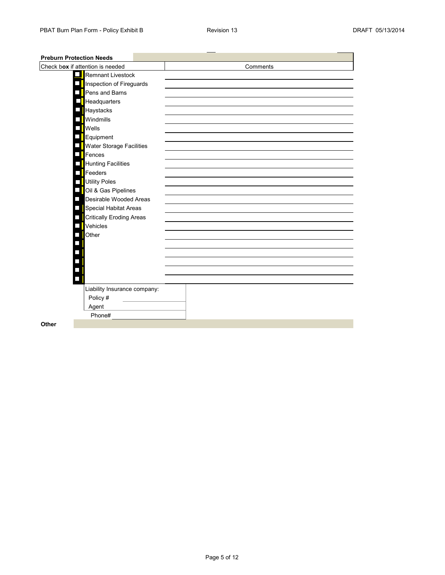| <b>Preburn Protection Needs</b>  |          |
|----------------------------------|----------|
| Check box if attention is needed | Comments |
| Remnant Livestock                |          |
| Inspection of Fireguards         |          |
| Pens and Barns                   |          |
| Headquarters                     |          |
| Haystacks                        |          |
| <b>Windmills</b>                 |          |
| Wells                            |          |
| Equipment                        |          |
| <b>Water Storage Facilities</b>  |          |
| Fences                           |          |
| Hunting Facilities               |          |
| $\blacksquare$ Feeders           |          |
| Utility Poles                    |          |
| Oil & Gas Pipelines              |          |
| Desirable Wooded Areas           |          |
| Special Habitat Areas            |          |
| <b>Critically Eroding Areas</b>  |          |
| Vehicles                         |          |
| Other                            |          |
|                                  |          |
|                                  |          |
|                                  |          |
|                                  |          |
|                                  |          |
| Liability Insurance company:     |          |
| Policy #                         |          |
| Agent                            |          |
| Phone#                           |          |
| Other                            |          |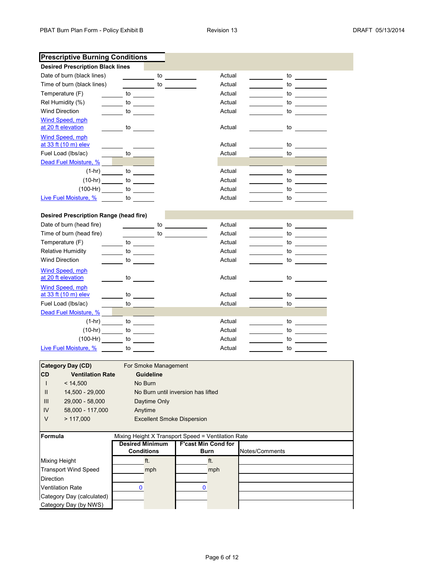|                                                                                                               | <b>Prescriptive Burning Conditions</b>                                                                                                                                                                                         |    |                                    |        |                |                           |  |
|---------------------------------------------------------------------------------------------------------------|--------------------------------------------------------------------------------------------------------------------------------------------------------------------------------------------------------------------------------|----|------------------------------------|--------|----------------|---------------------------|--|
| <b>Desired Prescription Black lines</b>                                                                       |                                                                                                                                                                                                                                |    |                                    |        |                |                           |  |
| Date of burn (black lines)                                                                                    |                                                                                                                                                                                                                                | to |                                    | Actual |                | to                        |  |
| Time of burn (black lines)                                                                                    | $\overline{\phantom{a}}$ to the set of $\overline{\phantom{a}}$                                                                                                                                                                |    |                                    | Actual |                | to                        |  |
| Temperature (F)                                                                                               | $\overline{\phantom{a}}$ to $\overline{\phantom{a}}$                                                                                                                                                                           |    |                                    | Actual |                | to                        |  |
| Rel Humidity (%)                                                                                              | <b>to</b>                                                                                                                                                                                                                      |    |                                    | Actual |                | to                        |  |
| <b>Wind Direction</b>                                                                                         | to the control of the control of the control of the control of the control of the control of the control of the control of the control of the control of the control of the control of the control of the control of the contr |    |                                    | Actual |                | to                        |  |
| <b>Wind Speed, mph</b>                                                                                        |                                                                                                                                                                                                                                |    |                                    |        |                |                           |  |
| at 20 ft elevation                                                                                            | <b>to</b>                                                                                                                                                                                                                      |    |                                    | Actual |                | to                        |  |
| <b>Wind Speed, mph</b><br>at 33 ft (10 m) elev                                                                |                                                                                                                                                                                                                                |    |                                    | Actual |                | to                        |  |
| Fuel Load (lbs/ac)                                                                                            | $\frac{1}{\sqrt{1-\frac{1}{2}}\sqrt{1-\frac{1}{2}}\left(\frac{1}{2}-\frac{1}{2}\right)}$                                                                                                                                       |    |                                    | Actual |                | to                        |  |
| Dead Fuel Moisture, %                                                                                         |                                                                                                                                                                                                                                |    |                                    |        |                |                           |  |
|                                                                                                               | $(1-hr)$ to                                                                                                                                                                                                                    |    |                                    | Actual |                | to                        |  |
| $(10-hr)$ to                                                                                                  |                                                                                                                                                                                                                                |    |                                    | Actual |                | to                        |  |
| $(100-Hr)$ to                                                                                                 |                                                                                                                                                                                                                                |    |                                    | Actual |                | to                        |  |
| Live Fuel Moisture, % contracts to the state of the state of the state of the state of the state of the state |                                                                                                                                                                                                                                |    |                                    | Actual |                | to                        |  |
|                                                                                                               |                                                                                                                                                                                                                                |    |                                    |        |                |                           |  |
| Desired Prescription Range (head fire)                                                                        |                                                                                                                                                                                                                                |    |                                    |        |                |                           |  |
| Date of burn (head fire)                                                                                      |                                                                                                                                                                                                                                | to |                                    | Actual |                | to                        |  |
| Time of burn (head fire)                                                                                      |                                                                                                                                                                                                                                | to |                                    | Actual |                | to                        |  |
| Temperature (F)                                                                                               | <b>Example 10</b>                                                                                                                                                                                                              |    |                                    | Actual |                | to                        |  |
| <b>Relative Humidity</b>                                                                                      | to                                                                                                                                                                                                                             |    |                                    | Actual |                | to                        |  |
| <b>Wind Direction</b>                                                                                         | <b>Example 10</b>                                                                                                                                                                                                              |    |                                    | Actual |                | to                        |  |
| Wind Speed, mph                                                                                               |                                                                                                                                                                                                                                |    |                                    |        |                |                           |  |
| at 20 ft elevation                                                                                            | $\frac{1}{2}$ to $\frac{1}{2}$                                                                                                                                                                                                 |    |                                    | Actual |                | to $\qquad \qquad$        |  |
| Wind Speed, mph                                                                                               |                                                                                                                                                                                                                                |    |                                    |        |                |                           |  |
| at 33 ft (10 m) elev                                                                                          | to the control of the control of the control of the control of the control of the control of the control of th                                                                                                                 |    |                                    | Actual |                | to $\qquad \qquad \qquad$ |  |
| Fuel Load (lbs/ac)                                                                                            |                                                                                                                                                                                                                                |    |                                    | Actual |                | to                        |  |
| Dead Fuel Moisture, %                                                                                         |                                                                                                                                                                                                                                |    |                                    |        |                |                           |  |
|                                                                                                               |                                                                                                                                                                                                                                |    |                                    | Actual |                | to                        |  |
|                                                                                                               |                                                                                                                                                                                                                                |    |                                    | Actual |                | to                        |  |
| $(100-Hr)$ to                                                                                                 |                                                                                                                                                                                                                                |    |                                    | Actual |                | to                        |  |
| Live Fuel Moisture, % compared to                                                                             |                                                                                                                                                                                                                                |    |                                    | Actual |                | to                        |  |
|                                                                                                               |                                                                                                                                                                                                                                |    |                                    |        |                |                           |  |
| <b>Category Day (CD)</b>                                                                                      | For Smoke Management                                                                                                                                                                                                           |    |                                    |        |                |                           |  |
| <b>CD</b><br><b>Ventilation Rate</b>                                                                          | <b>Guideline</b>                                                                                                                                                                                                               |    |                                    |        |                |                           |  |
| < 14,500<br>$\mathsf{l}$                                                                                      | No Burn                                                                                                                                                                                                                        |    |                                    |        |                |                           |  |
| 14,500 - 29,000<br>Ш                                                                                          |                                                                                                                                                                                                                                |    | No Burn until inversion has lifted |        |                |                           |  |
| 29,000 - 58,000<br>Ш                                                                                          | Daytime Only                                                                                                                                                                                                                   |    |                                    |        |                |                           |  |
| IV<br>58,000 - 117,000                                                                                        | Anytime                                                                                                                                                                                                                        |    |                                    |        |                |                           |  |
| V<br>> 117,000                                                                                                |                                                                                                                                                                                                                                |    | <b>Excellent Smoke Dispersion</b>  |        |                |                           |  |
|                                                                                                               |                                                                                                                                                                                                                                |    |                                    |        |                |                           |  |
| Formula                                                                                                       | Mixing Height X Transport Speed = Ventilation Rate<br><b>Desired Minimum</b>                                                                                                                                                   |    | <b>F'cast Min Cond for</b>         |        |                |                           |  |
|                                                                                                               | <b>Conditions</b>                                                                                                                                                                                                              |    | <b>Burn</b>                        |        | Notes/Comments |                           |  |
| <b>Mixing Height</b>                                                                                          | ft.                                                                                                                                                                                                                            |    |                                    | ft.    |                |                           |  |
| <b>Transport Wind Speed</b>                                                                                   | mph                                                                                                                                                                                                                            |    |                                    | mph    |                |                           |  |
| Direction                                                                                                     |                                                                                                                                                                                                                                |    |                                    |        |                |                           |  |
| <b>Ventilation Rate</b>                                                                                       | 0                                                                                                                                                                                                                              |    | $\bf{0}$                           |        |                |                           |  |
| Category Day (calculated)                                                                                     |                                                                                                                                                                                                                                |    |                                    |        |                |                           |  |
| Category Day (by NWS)                                                                                         |                                                                                                                                                                                                                                |    |                                    |        |                |                           |  |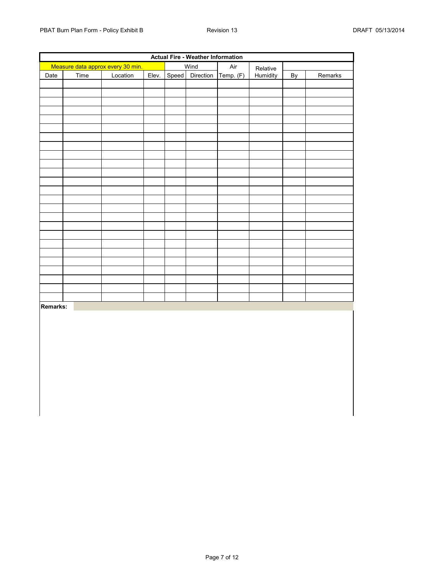| <b>Actual Fire - Weather Information</b> |      |                                   |       |  |                 |           |          |    |         |
|------------------------------------------|------|-----------------------------------|-------|--|-----------------|-----------|----------|----|---------|
|                                          |      | Measure data approx every 30 min. |       |  | Wind            | Air       | Relative |    |         |
| Date                                     | Time | Location                          | Elev. |  | Speed Direction | Temp. (F) | Humidity | By | Remarks |
|                                          |      |                                   |       |  |                 |           |          |    |         |
|                                          |      |                                   |       |  |                 |           |          |    |         |
|                                          |      |                                   |       |  |                 |           |          |    |         |
|                                          |      |                                   |       |  |                 |           |          |    |         |
|                                          |      |                                   |       |  |                 |           |          |    |         |
|                                          |      |                                   |       |  |                 |           |          |    |         |
|                                          |      |                                   |       |  |                 |           |          |    |         |
|                                          |      |                                   |       |  |                 |           |          |    |         |
|                                          |      |                                   |       |  |                 |           |          |    |         |
|                                          |      |                                   |       |  |                 |           |          |    |         |
|                                          |      |                                   |       |  |                 |           |          |    |         |
|                                          |      |                                   |       |  |                 |           |          |    |         |
|                                          |      |                                   |       |  |                 |           |          |    |         |
|                                          |      |                                   |       |  |                 |           |          |    |         |
|                                          |      |                                   |       |  |                 |           |          |    |         |
|                                          |      |                                   |       |  |                 |           |          |    |         |
|                                          |      |                                   |       |  |                 |           |          |    |         |
|                                          |      |                                   |       |  |                 |           |          |    |         |
|                                          |      |                                   |       |  |                 |           |          |    |         |
|                                          |      |                                   |       |  |                 |           |          |    |         |
|                                          |      |                                   |       |  |                 |           |          |    |         |
|                                          |      |                                   |       |  |                 |           |          |    |         |
|                                          |      |                                   |       |  |                 |           |          |    |         |
|                                          |      |                                   |       |  |                 |           |          |    |         |
|                                          |      |                                   |       |  |                 |           |          |    |         |
| Remarks:                                 |      |                                   |       |  |                 |           |          |    |         |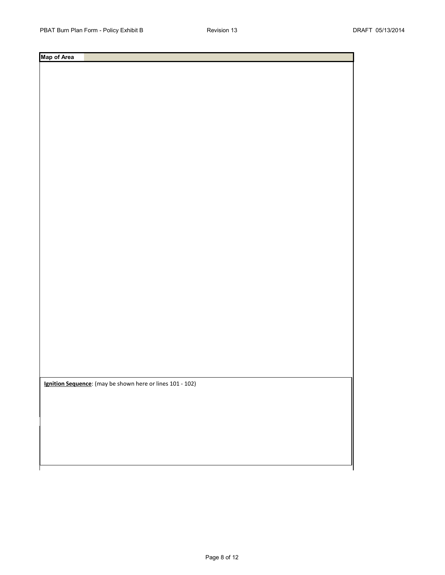**Ignition Sequence**: (may be shown here or lines 101 - 102)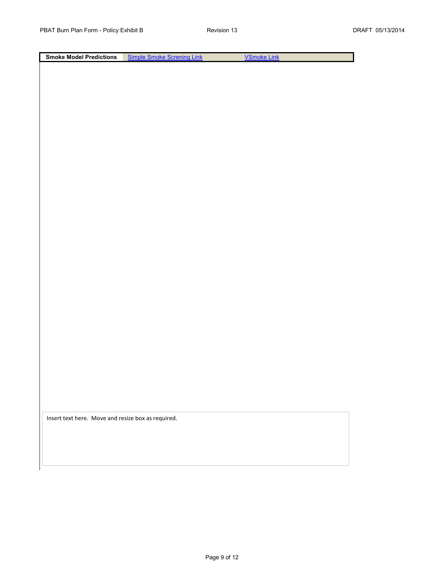**Smoke Model Predictions** [Sim](http://shrmc.ggy.uga.edu/maps/screen.html)ple Smoke Screning Link [V](http://shrmc.ggy.uga.edu/maps/vsmoke.html)Smoke Link

Insert text here. Move and resize box as required.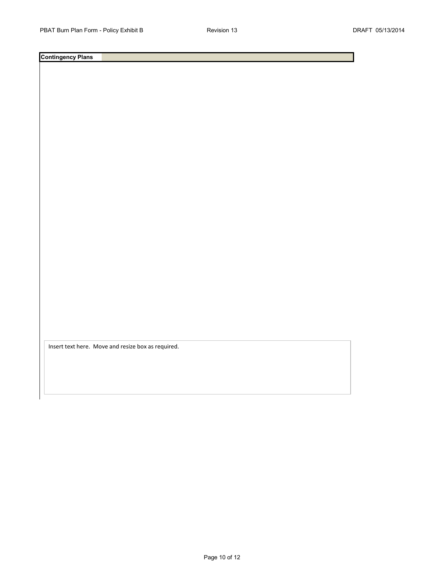Insert text here. Move and resize box as required.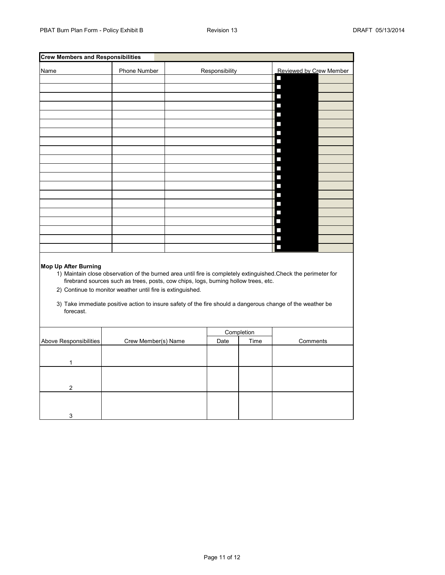| <b>Crew Members and Responsibilities</b>                                                                                                                                                                                                                                                                                                                                                                                |                     |  |                |                         |                          |  |  |  |
|-------------------------------------------------------------------------------------------------------------------------------------------------------------------------------------------------------------------------------------------------------------------------------------------------------------------------------------------------------------------------------------------------------------------------|---------------------|--|----------------|-------------------------|--------------------------|--|--|--|
| Name                                                                                                                                                                                                                                                                                                                                                                                                                    | Phone Number        |  | Responsibility | Reviewed by Crew Member |                          |  |  |  |
|                                                                                                                                                                                                                                                                                                                                                                                                                         |                     |  |                |                         | П                        |  |  |  |
|                                                                                                                                                                                                                                                                                                                                                                                                                         |                     |  |                |                         | П                        |  |  |  |
|                                                                                                                                                                                                                                                                                                                                                                                                                         |                     |  |                |                         | L.                       |  |  |  |
|                                                                                                                                                                                                                                                                                                                                                                                                                         |                     |  |                |                         | П                        |  |  |  |
|                                                                                                                                                                                                                                                                                                                                                                                                                         |                     |  |                |                         | П                        |  |  |  |
|                                                                                                                                                                                                                                                                                                                                                                                                                         |                     |  |                |                         | I.                       |  |  |  |
|                                                                                                                                                                                                                                                                                                                                                                                                                         |                     |  |                |                         | $\overline{\phantom{a}}$ |  |  |  |
|                                                                                                                                                                                                                                                                                                                                                                                                                         |                     |  |                |                         | I.                       |  |  |  |
|                                                                                                                                                                                                                                                                                                                                                                                                                         |                     |  |                |                         | $\Box$                   |  |  |  |
|                                                                                                                                                                                                                                                                                                                                                                                                                         |                     |  |                |                         | $\Box$                   |  |  |  |
|                                                                                                                                                                                                                                                                                                                                                                                                                         |                     |  |                |                         | П                        |  |  |  |
|                                                                                                                                                                                                                                                                                                                                                                                                                         |                     |  |                |                         | $\Box$                   |  |  |  |
|                                                                                                                                                                                                                                                                                                                                                                                                                         |                     |  |                |                         | П                        |  |  |  |
|                                                                                                                                                                                                                                                                                                                                                                                                                         |                     |  |                |                         | I.                       |  |  |  |
|                                                                                                                                                                                                                                                                                                                                                                                                                         |                     |  |                |                         | $\overline{\phantom{a}}$ |  |  |  |
|                                                                                                                                                                                                                                                                                                                                                                                                                         |                     |  |                |                         | П                        |  |  |  |
|                                                                                                                                                                                                                                                                                                                                                                                                                         |                     |  |                |                         | $\overline{\phantom{a}}$ |  |  |  |
|                                                                                                                                                                                                                                                                                                                                                                                                                         |                     |  |                |                         | П                        |  |  |  |
|                                                                                                                                                                                                                                                                                                                                                                                                                         |                     |  |                |                         | П                        |  |  |  |
|                                                                                                                                                                                                                                                                                                                                                                                                                         |                     |  |                |                         |                          |  |  |  |
| Mop Up After Burning<br>1) Maintain close observation of the burned area until fire is completely extinguished. Check the perimeter for<br>firebrand sources such as trees, posts, cow chips, logs, burning hollow trees, etc.<br>2) Continue to monitor weather until fire is extinguished.<br>3) Take immediate positive action to insure safety of the fire should a dangerous change of the weather be<br>forecast. |                     |  |                |                         |                          |  |  |  |
|                                                                                                                                                                                                                                                                                                                                                                                                                         |                     |  |                |                         |                          |  |  |  |
|                                                                                                                                                                                                                                                                                                                                                                                                                         |                     |  |                | Completion              |                          |  |  |  |
| Above Responsibilities                                                                                                                                                                                                                                                                                                                                                                                                  | Crew Member(s) Name |  | Date           | Time                    | Comments                 |  |  |  |
|                                                                                                                                                                                                                                                                                                                                                                                                                         |                     |  |                |                         |                          |  |  |  |
| 1                                                                                                                                                                                                                                                                                                                                                                                                                       |                     |  |                |                         |                          |  |  |  |
|                                                                                                                                                                                                                                                                                                                                                                                                                         |                     |  |                |                         |                          |  |  |  |
|                                                                                                                                                                                                                                                                                                                                                                                                                         |                     |  |                |                         |                          |  |  |  |
| 2                                                                                                                                                                                                                                                                                                                                                                                                                       |                     |  |                |                         |                          |  |  |  |
|                                                                                                                                                                                                                                                                                                                                                                                                                         |                     |  |                |                         |                          |  |  |  |
|                                                                                                                                                                                                                                                                                                                                                                                                                         |                     |  |                |                         |                          |  |  |  |
| 3                                                                                                                                                                                                                                                                                                                                                                                                                       |                     |  |                |                         |                          |  |  |  |